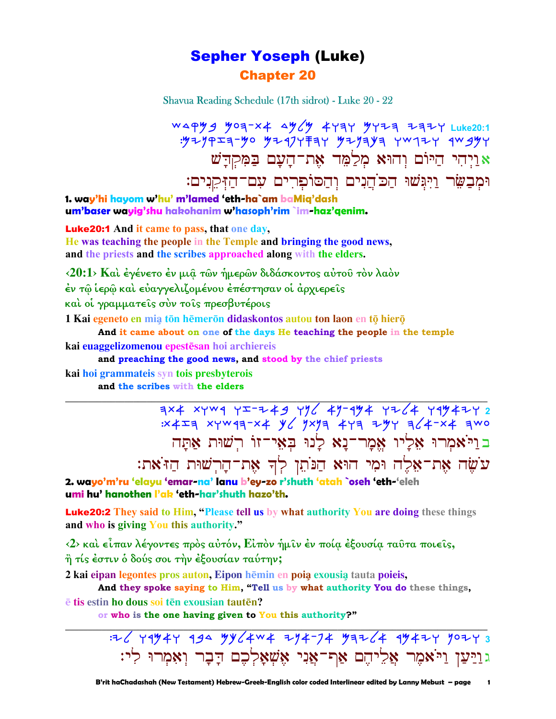## Sepher Yoseph (Luke) Chapter 20

Shavua Reading Schedule (17th sidrot) - Luke 20 - 22

 cdqmb Moh-ta dmlm awhw Mwyh yhyw **Luke20:1**   $:$  $y$ z $y$ p $x$ a- $y$ o  $y$ z $y$ z $y$  $y$ łay  $y$ z $y$ a $y$ a yw $y$ w rw $y$ yw r  $\mathbf{z}$ יַרְהִי הַיּוֹם וְהוּא מְלַמֶּד אֶת־הַעֲם בַּמְקִדַּשׁ וּמְבַשֵּׂר וַיִּגִּשׁוּ הַכֹּהֵנִים וְהַסוֹפִרִים עִם־הַזְּקֵנִים:

**1. way'hi hayom w'hu' m'lamed 'eth-ha`am baMiq'dash um'baser wayig'shu hakohanim w'hasoph'rim `im-haz'qenim.**

Luke20:1 **And it came to pass, that one day, He was teaching the people in the Temple and bringing the good news, and the priests and the scribes approached along with the elders.** 

**‹20:1› Καὶ ἐγένετο ἐν µιᾷ τῶν ἡµερῶν διδάσκοντος αὐτοῦ τὸν λαὸν ἐν τῷ ἱερῷ καὶ εὐαγγελιζοµένου ἐπέστησαν οἱ ἀρχιερεῖς καὶ οἱ γραµµατεῖς σὺν τοῖς πρεσβυτέροις** 

1 Kai egeneto en mia tōn hēmerōn didaskontos autou ton laon en tō hierō

**And it came about on one of the days He teaching the people in the temple**

**\_\_\_\_\_\_\_\_\_\_\_\_\_\_\_\_\_\_\_\_\_\_\_\_\_\_\_\_\_\_\_\_\_\_\_\_\_\_\_\_\_\_\_\_\_\_\_\_\_\_\_\_\_\_\_\_\_\_\_\_\_\_\_\_\_\_\_\_\_\_\_\_\_\_\_\_\_\_\_\_\_\_\_\_\_\_\_\_\_\_\_\_\_**

**kai euaggelizomenou epestsan hoi archiereis** 

**and preaching the good news, and stood by the chief priests**

**kai hoi grammateis syn tois presbyterois and the scribes with the elders**

<u> ㅋ×4 ×ywq yエーマイタ yツሪ 4ツー٩ツ4 yマンሪ</u>4 y٩ツ4マy 2  $:x+1$  xywqq-x4  $y'$  1xyq 4yq 2yy q'4-x4 qwo בוַי<sup>ּ</sup>אמִרוּ אַלַיו אֵמַר־נַא לַנוּ בִאָי־זוֹ רִשׁוּת אַתָּה :œ'¾Fµ† œE¸š´†-œ¶' ¡¸ '·œ¾Mµ† 'E† ‹¹÷E †¶·'-œ¶' †¶ā¾" **2. wayo'm'ru 'elayu 'emar-na' lanu b'ey-zo r'shuth 'atah `oseh 'eth-'eleh**

**umi hu' hanothen l'ak 'eth-har'shuth hazo'th.**

Luke20:2 **They said to Him, "Please tell us by what authority You are doing these things and who is giving You this authority."** 

**‹2› καὶ εἶπαν λέγοντες πρὸς αὐτόν, Εἰπὸν ἡµῖν ἐν ποίᾳ ἐξουσίᾳ ταῦτα ποιεῖς, ἢ τίς ἐστιν ὁ δούς σοι τὴν ἐξουσίαν ταύτην;** 

**2 kai eipan legontes pros auton. Eipon hēmin en poia exousia tauta poieis,** 

**And they spoke saying to Him, "Tell us by what authority You do these things,**  $\overline{e}$  **tis** estin ho dous soi ten exousian tauten?

**\_\_\_\_\_\_\_\_\_\_\_\_\_\_\_\_\_\_\_\_\_\_\_\_\_\_\_\_\_\_\_\_\_\_\_\_\_\_\_\_\_\_\_\_\_\_\_\_\_\_\_\_\_\_\_\_\_\_\_\_\_\_\_\_\_\_\_\_\_\_\_\_\_\_\_\_\_\_\_\_\_\_\_\_\_\_\_\_\_\_\_\_\_**

**or who is the one having given to You this authority?"** 

:yl wrmaw rbd Mklaca yna-pa Mhyla rmayw noyw **3**  בּוַיַּעַן וַיֹּאמִר אֲלֵיהֵם אַף־אֲנִי אֵשִׁאָלְכֵם דָבָר וִאָמִרוּ לִי: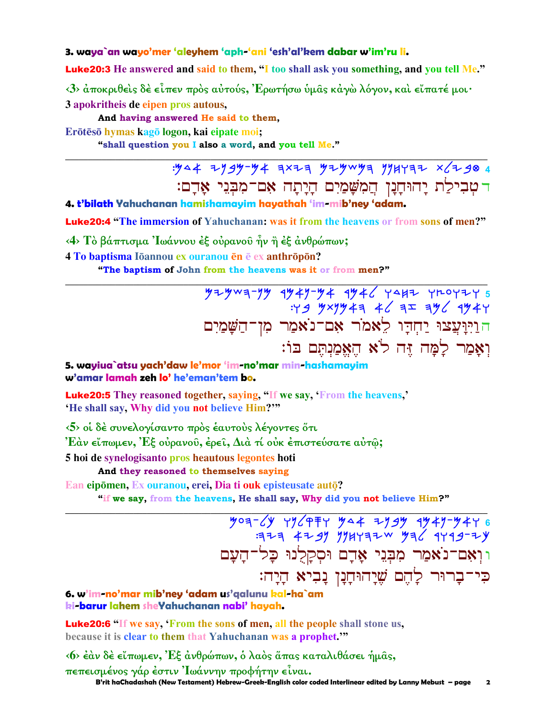### 3. waya`an wayo'mer 'aleyhem 'aph-'ani 'esh'al'kem dabar w'im'ru li.

Luke20:3 He answered and said to them, "I too shall ask you something, and you tell Me."

 $\langle 3 \rangle$  άποκριθείς δέ είπεν πρός αύτούς, Έρωτήσω ύμας κάγώ λόγον, και είπατέ μοι· 3 apokritheis de eipen pros autous,

And having answered He said to them.

Erōtēsō hymas kagō logon, kai eipate moi;

"shall question you I also a word, and you tell Me."

 $.944$  2999-94 7x27 929w97 9944772 x62904 דטבילת יהוחנו המשמים היתה אם־מבני אדם:

4. t'bilath Yahuchanan hamishamayim hayathah 'im-mib'ney 'adam.

**Luke20:4** "The immersion of Yahuchanan: was it from the heavens or from sons of men?"

<4> Το βάπτισμα Ιωάννου έξ ουρανού ήν ή έξ ανθρώπων;

4 To baptisma Iōannou ex ouranou en e ex anthropon?

"The baptism of John from the heavens was it or from men?"

 $774$   $774$   $794$   $794$   $794$   $794$   $794$   $794$   $794$   $794$   $794$   $794$   $794$   $794$   $794$   $794$   $794$   $794$   $794$   $794$   $794$   $794$   $794$   $794$   $794$   $794$   $794$   $794$   $794$   $794$   $794$   $794$   $794$   $794$   $794$   $794$   $794$ הַרַיִּנְעֲצוּ יַחְדָו לֵאמֹר אָם־נֹאמֵר מִן־הַשֲׁמַיִם וְאַמַר לַמַּה זֶּה לֹא הֵאֱמַנְתֵּם בּוֹ:

5. wayiua`atsu yach'daw le'mor 'im-no'mar min-hashamayim w'amar lamah zeh lo' he'eman'tem bo.

**Luke20:5** They reasoned together, saving, "If we say, 'From the heavens,' 'He shall say, Why did you not believe Him?"

<5> οι δέ συνελογίσαντο πρός έαυτούς λέγοντες ότι

Έάν εἴπωμεν, Έξ οὐρανοῦ, ἐρεῖ, Διὰ τί οὐκ ἐπιστεύσατε αὐτῷ;

5 hoi de synelogisanto pros heautous legontes hoti

And they reasoned to themselves saying

Ean eipōmen, Ex ouranou, erei, Dia ti ouk episteusate autō?

"if we say, from the heavens, He shall say, Why did you not believe Him?"

 $\frac{1}{2}$   $\frac{1}{2}$   $\frac{1}{2}$   $\frac{1}{2}$   $\frac{1}{2}$   $\frac{1}{2}$   $\frac{1}{2}$   $\frac{1}{2}$   $\frac{1}{2}$   $\frac{1}{2}$   $\frac{1}{2}$   $\frac{1}{2}$   $\frac{1}{2}$   $\frac{1}{2}$   $\frac{1}{2}$   $\frac{1}{2}$   $\frac{1}{2}$   $\frac{1}{2}$   $\frac{1}{2}$   $\frac{1}{2}$   $\frac{1}{2}$   $\frac{1}{2}$  וּוְאִם־נֹאַמַר מִבְּנֵי אָדָם וּסִקַלְנוּ כַּל־הַעַם כִּי־בַרוּר לַהֶם שֲׁיַהוּחַנַן נַבִיא הַיַה:

6. w'im-no'mar mib'ney 'adam us'galunu kal-ha`am ki-barur lahem sheYahuchanan nabi' hayah.

**Luke20:6** "If we say, 'From the sons of men, all the people shall stone us, because it is clear to them that Yahuchanan was a prophet."

<6> έαν δέ είπωμεν, Έξ ανθρώπων, ό λαός άπας καταλιθάσει ήμας, πεπεισμένος γάρ έστιν Ιωάννην προφήτην είναι. B'rit haChadashah (New Testament) Hebrew-Greek-English color coded Interlinear edited by Lanny Mebust - page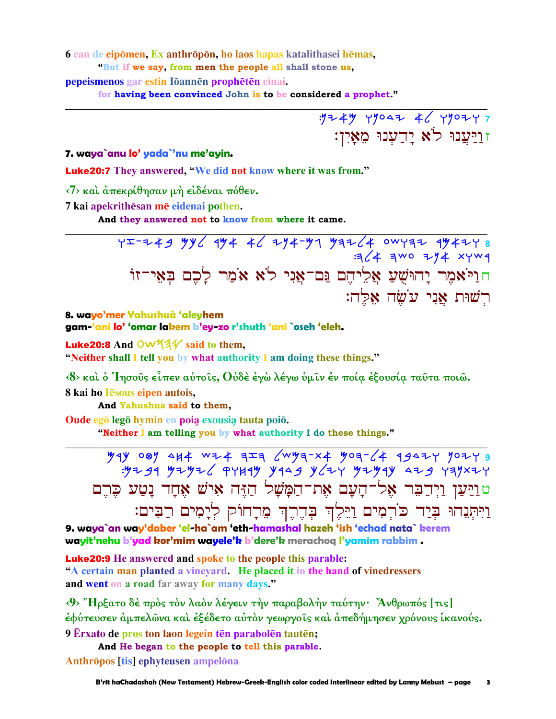6 ean de eipōmen, Ex anthrōpōn, ho laos hapas katalithasei hēmas,

"But if we say, from men the people all shall stone us,

pepeismenos gar estin Iōannēn prophētēn einai.

for having been convinced John is to be considered a prophet."

 $.9744$   $49047$   $46$   $49077$ ז<u>וַי</u>ִּעֲנוּ לֹא יַדַעִנוּ מֵאָיִן:

7. waya`anu lo' yada`'nu me'ayin.

**Luke20:7** They answered, "We did not know where it was from."

<7> και άπεκρίθησαν μή ειδέναι πόθεν.

7 kai apekrithēsan mē eidenai pothen.

And they answered not to know from where it came.

 $75-749$  yy and the part of the part of the set of the set of the set of the set of the set of the set of the set of the set of the set of the set of the set of the set of the set of the set of the set of the set of the s חוַיֹּאמֶר יַהוּשָׁעַ אֱלֵיהֶם גַּם־אֶנִי לֹא אֹמֵר לַכֶם בִּאָי־זוֹ רִשׁוּת אֲנִי עֹשָׂה אַלֵּה:

8. wayo'mer Yahushuà 'aleyhem gam-'ani lo' 'omar lakem b'ey-zo r'shuth 'ani `oseh 'eleh.

**Luke20:8** And  $\overline{OW44}$  said to them, "Neither shall I tell you by what authority I am doing these things."

<8> και ο 'Iησούς είπεν αύτοις, Ούδε έγω λέγω ύμιν έν ποία εξουσία ταυτα ποιώ.

8 kai ho Iesous eipen autois,

And Yahushua said to them.

Oude ego lego hymin en poia exousia tauta poio.

"Neither I am telling you by what authority I do these things."

 $794$  087 4H4 WZ4 7I9 (WY9-X4 YO9-(4 994ZY YOZY 9  $\frac{1}{2}$   $\frac{1}{2}$   $\frac{1}{2}$   $\frac{1}{2}$   $\frac{1}{2}$   $\frac{1}{2}$   $\frac{1}{2}$   $\frac{1}{2}$   $\frac{1}{2}$   $\frac{1}{2}$   $\frac{1}{2}$   $\frac{1}{2}$   $\frac{1}{2}$   $\frac{1}{2}$   $\frac{1}{2}$   $\frac{1}{2}$   $\frac{1}{2}$   $\frac{1}{2}$   $\frac{1}{2}$   $\frac{1}{2}$   $\frac{1}{2}$   $\frac{1}{2}$  טוַיַּעַן וַיִּדַבִּר אָל־הָעָם אֵת־הַמָּשָׁל הַזֶּה אִישׁ אָחָד נָטַע כִּרֵם וַיִּתְְנֵהוּ בְּיַד כֹּרְמִים וַיֵּלֶךְ בְּדֶרֶךְ מֵרְחוֹק לְיָמִים רַבִּים:

9. waya`an way'daber 'el-ha`am 'eth-hamashal hazeh 'ish 'echad nata` kerem wayit'nehu b'yad kor'mim wayele'k b'dere'k merachoq l'yamim rabbim.

**Luke20:9** He answered and spoke to the people this parable: "A certain man planted a vineyard. He placed it in the hand of vinedressers and went on a road far away for many days."

<9> "Ηρξατο δέ πρός τον λαόν λέγειν την παραβολήν ταύτην· "Ανθρωπός [τις] έφύτευσεν άμπελῶνα καὶ ἐξέδετο αὐτὸν γεωργοῖς καὶ ἀπεδήμησεν χρόνους ἱκανούς. 9 Erxato de pros ton laon legein tēn parabolēn tautēn;

And He began to the people to tell this parable.

Anthrōpos [tis] ephyteusen ampelōna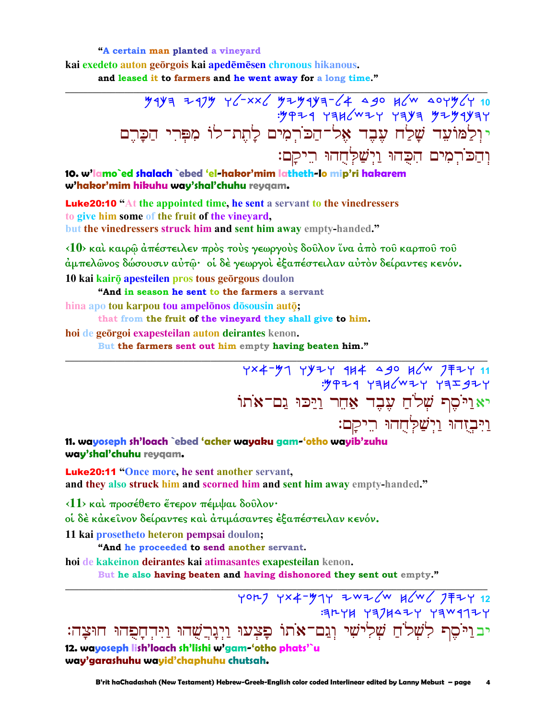### "A certain man planted a vineyard

kai exedeto auton georgois kai apedemesen chronous hikanous. and leased it to farmers and he went away for a long time."

10. w'lamo`ed shalach `ebed 'el-hakor'mim latheth-lo mip'ri hakarem w'hakor'mim hikuhu way'shal'chuhu reygam.

**Luke20:10** "At the appointed time, he sent a servant to the vinedressers to give him some of the fruit of the vineyard, but the vinedressers struck him and sent him away empty-handed."

<10> καί καιρώ άπέστειλεν πρός τούς γεωργούς δούλον ίνα άπό του καρπού του άμπελῶνος δώσουσιν αὐτῷ· οἱ δὲ γεωργοὶ ἐξαπέστειλαν αὐτὸν δείραντες κενόν. 10 kai kairō apesteilen pros tous geōrgous doulon

"And in season he sent to the farmers a servant

hina apo tou karpou tou ampelõnos dōsousin autō;

that from the fruit of the vineyard they shall give to him.

hoi de geõrgoi exapesteilan auton deirantes kenon.

But the farmers sent out him empty having beaten him."

11. wayoseph sh'loach `ebed 'acher wayaku gam-'otho wayib'zuhu way'shal'chuhu reygam.

**Luke20:11 "Once more, he sent another servant,** and they also struck him and scorned him and sent him away empty-handed."

<11> και προσέθετο έτερον πέμψαι δούλον·

οί δέ κάκεινον δείραντες και άτιμάσαντες έξαπέστειλαν κενόν.

11 kai prosetheto heteron pempsai doulon;

"And he proceeded to send another servant.

hoi de kakeinon deirantes kai atimasantes exapesteilan kenon.

But he also having beaten and having dishonored they sent out empty."

YOR] YX4-374 ZWZ (W K W / 7 F 2 12 ALYH YAJHAZY YAW417Y יב וַיֹּסֶף לִשְׁלֹחַ שְׁלִישִׁי וְגַם־אֹתוֹ פָּצְעוּ וַיְגָרְשֻׁהוּ וַיִּדְחָפָהוּ חוּצָה: 12. wayoseph lish'loach sh'lishi w'gam-'otho phats'`u way'garashuhu wayid'chaphuhu chutsah.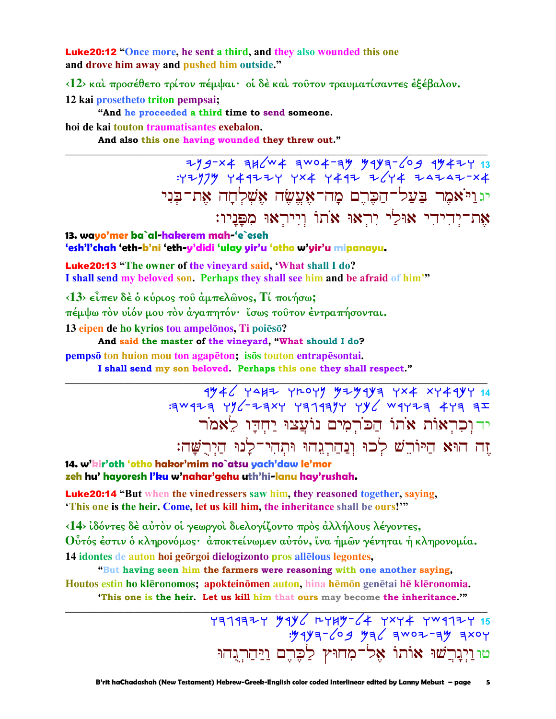**Luke20:12 "Once more, he sent a third, and they also wounded this one** and drove him away and pushed him outside."

<12> και προσέθετο τρίτον πέμψαι· οι δε και τούτον τραυματίσαντες εξέβαλον.

12 kai prosetheto triton pempsai;

"And he proceeded a third time to send someone.

hoi de kai touton traumatisantes exebalon.

And also this one having wounded they threw out."

 $7/9-x4$  3H(W4 3WO4-3Y Y1Y3-69 1Y42Y 13 :47979 449224 4x4 4492 2/44 24242-x4 יגויאמר בעל־הכרם מה־אָעֱשָׂה אָשָׁלְחָה אָת־בִּנִי את־יִדְידִי אוּלֵי יִרְאוּ אֹתוֹ וְיִירְאוּ מִפְּנֵיו:

13. wayo'mer ba`al-hakerem mah-'e`eseh 'esh'l'chah 'eth-b'ni 'eth-y'didi 'ulay yir'u 'otho w'yir'u mipanayu.

**Luke20:13** "The owner of the vineyard said, 'What shall I do? I shall send my beloved son. Perhaps they shall see him and be afraid of him'"

 $\langle 13 \rangle$  είπεν δέ ο κύριος του άμπελώνος, Τί ποιήσω;

πέμψω τον υίόν μου τον άγαπητόν· ίσως τούτον έντραπήσονται.

13 eipen de ho kyrios tou ampelonos. Ti poieso?

And said the master of the vineyard, "What should I do?

pempsō ton huion mou ton agapēton; isōs touton entrapēsontai.

I shall send my son beloved. Perhaps this one they shall respect."

 $4\frac{4}{3}$  +  $\frac{1}{4}$  +  $\frac{1}{4}$  +  $\frac{1}{4}$  +  $\frac{1}{4}$  +  $\frac{1}{4}$  +  $\frac{1}{4}$  +  $\frac{1}{4}$  +  $\frac{1}{4}$  +  $\frac{1}{4}$  +  $\frac{1}{4}$  +  $\frac{1}{4}$  +  $\frac{1}{4}$  +  $\frac{1}{4}$  +  $\frac{1}{4}$  +  $\frac{1}{4}$  +  $\frac{1}{4}$  +  $\frac{1}{4}$  +  $\frac{$ ידוכראות אתו הכרמים נועצו יחדו לאמר זה הוּא הַיּוֹרֵשׁ לְכוּ וְנַהַרְגֵהוּ וּתְהִי־לַנוּ הַיְרִשָּׁה:

14. w'kir'oth 'otho hakor'mim no`atsu yach'daw le'mor zeh hu' hayoresh l'ku w'nahar'gehu uth'hi-lanu hay'rushah.

Luke20:14 "But when the vinedressers saw him, they reasoned together, saying, 'This one is the heir. Come, let us kill him, the inheritance shall be ours!"

<14> ιδόντες δέ αύτον οι γεωργοι διελογίζοντο προς αλλήλους λέγοντες, Ούτός έστιν ο κληρονόμος· αποκτείνωμεν αυτόν, ίνα ήμων γένηται ή κληρονομία. 14 idontes de auton hoi georgoi dielogizonto pros allelous legontes.

"But having seen him the farmers were reasoning with one another saying, Houtos estin ho klēronomos; apokteinomen auton, hina hēmon genētai hē klēronomia. "This one is the heir. Let us kill him that ours may become the inheritance.""

> טוּוַיְבִרְשׁוּ אוֹתוֹ אֶל־מִחוּץ לַכָּרֶם וַיַּחַרְגִּחוּ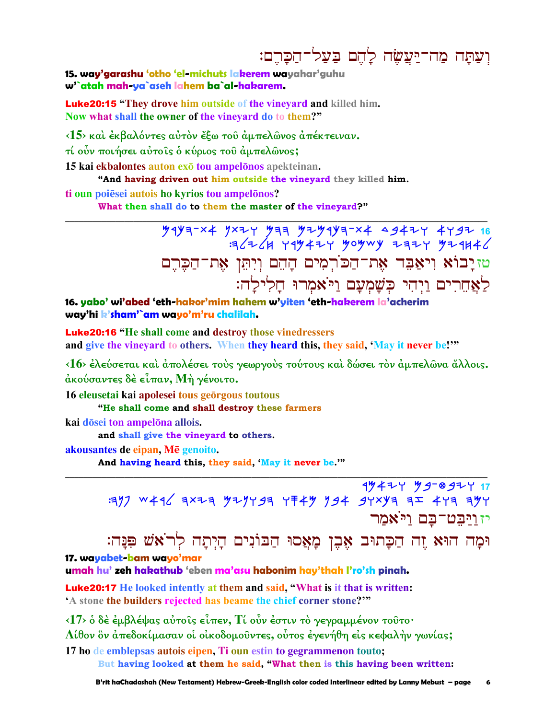# וִעַתַּה מַה־יַּעֲשָׂה לַהֵם בַּעֲל־הַכַּרֵם:

15. way'garashu 'otho 'el-michuts lakerem wayahar'guhu w'`atah mah-ya`aseh lahem ba`al-hakarem.

**Luke20:15 "They drove him outside of the vinevard and killed him.** Now what shall the owner of the vineyard do to them?"

<15> και έκβαλόντες αύτον έξω του άμπελώνος απέκτειναν.

τί ούν ποιήσει αύτοις ο κύριος του άμπελωνος;

15 kai ekbalontes auton exo tou ampelonos apekteinan.

"And having driven out him outside the vineyard they killed him.

ti oun poiēsei autois ho kyrios tou ampelonos?

What then shall do to them the master of the vinevard?"

 $\frac{1}{2}$   $\frac{1}{2}$   $\frac{1}{2}$   $\frac{1}{2}$   $\frac{1}{2}$   $\frac{1}{2}$   $\frac{1}{2}$   $\frac{1}{2}$   $\frac{1}{2}$   $\frac{1}{2}$   $\frac{1}{2}$   $\frac{1}{2}$   $\frac{1}{2}$   $\frac{1}{2}$   $\frac{1}{2}$   $\frac{1}{2}$   $\frac{1}{2}$   $\frac{1}{2}$   $\frac{1}{2}$   $\frac{1}{2}$   $\frac{1}{2}$   $\frac{1}{2}$   $136264$  ray tir yoywy zazy yzakt טזיָבוֹא וִיאַבִּד אֶת־הַכֹּרְמִים הָהֶם וְיִתְּן אֶת־הַכֵּרֵם לָאֲחֵרִים וַיִּהִי כִּשָׁמְעַם וַיֹּאמִרוּ חַלִילַה:

16. yabo' wi'abed 'eth-hakor'mim hahem w'yiten 'eth-hakerem la'acherim way'hi k'sham'`am wayo'm'ru chalilah.

**Luke20:16 "He shall come and destroy those vinedressers** and give the vineyard to others. When they heard this, they said, 'May it never be!'"

<16> έλεύσεται και άπολέσει τους γεωργους τούτους και δώσει τον άμπελώνα άλλοις. άκούσαντες δέ είπαν, Μή γένοιτο.

16 eleusetai kai apolesei tous georgous toutous

"He shall come and shall destroy these farmers

kai dōsei ton ampelōna allois.

and shall give the vineyard to others.

akousantes de eipan, Mē genoito.

And having heard this, they said, 'May it never be."

 $494779997717$ יז ויבט־בם ויֹאמר

וּמָה הוּא זֶה הַכָּתוּב אֶבֶן מָאֲסוּ הַבּוֹנִים הַיִתָה לְרֹאֹשׁ פִּנַּה:

### 17. wayabet-bam wayo'mar

umah hu' zeh hakathub 'eben ma'asu habonim hay'thah l'ro'sh pinah.

**Luke20:17** He looked intently at them and said, "What is it that is written: 'A stone the builders rejected has beame the chief corner stone?"

<17> ο δέ έμβλέψας αύτοις είπεν, Τι ούν έστιν το γεγραμμένον τουτο·

Λίθον ὃν ἀπεδοκίμασαν οι οικοδομοῦντες, ούτος ἐγενήθη εις κεφαλήν γωνίας;

17 ho de emblepsas autois eipen. Ti oun estin to gegrammenon touto; But having looked at them he said, "What then is this having been written: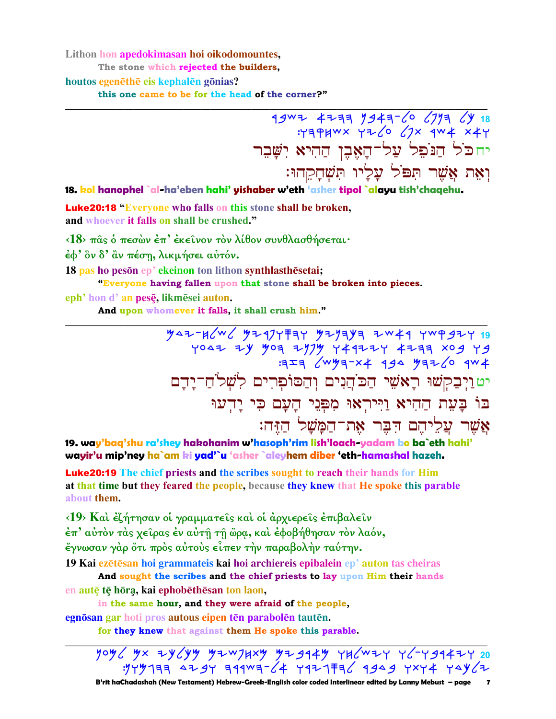Lithon hon apedokimasan hoi oikodomountes, The stone which rejected the builders. houtos egenēthē eis kephalēn gōnias? this one came to be for the head of the corner?"

 $79^{w7}$   $47^{37}$   $79^{43}$   $6$   $77^{37}$   $18^{20}$   $19^{24}$   $19^{20}$   $19^{20}$   $19^{20}$   $19^{20}$   $19^{20}$   $19^{20}$   $19^{20}$   $19^{20}$   $19^{20}$   $19^{20}$   $19^{20}$   $19^{20}$   $19^{20}$   $19^{20}$   $19^{20}$   $19^{20}$   $19^{20}$   $19^{20}$  יחכֹל הַנֹפֵל עַל־הָאָבֶן הַהִיא יִשֲׁבֵר וָאֵת אֲשֶׁר תִפֹּל עָלָיו תִּשְׁחָקְהוּ:

18. kol hanophel `al-ha'eben hahi' yishaber w'eth 'asher tipol `alayu tish'chaqehu.

**Luke20:18 "Everyone who falls on this stone shall be broken,** and whoever it falls on shall be crushed."

<18> πας ο πεσών έπ' έκεινον τον λίθον συνθλασθήσεται·

έφ' ὃν δ' ἂν πέση, λικμήσει αὐτόν.

18 pas ho peson ep' ekeinon ton lithon synthlasthesetai;

"Everyone having fallen upon that stone shall be broken into pieces.

eph' hon d' an pese, likmesei auton.

And upon whomever it falls, it shall crush him."

 $447 - 460$ 27 20x FFF4 Y4779 Y4777 X10 F0 Y4 J209<br>4WP 0J4FY 484 4x-FYWY FIF: יט וַיְבַקְשׁוּ רָאֹשִׁי הַכֹּהֲנִים וִהַסוֹפִרִים לִשְׁלֹחַ־יַדֵם בּוֹ בַּעֲת הַהִיא וַיִּירִאוּ מִפְּנֵי הַעֲם כִּי יַדְעוּ אשר עליהם דבר את־המשל הזה:

19. way'baq'shu ra'shey hakohanim w'hasoph'rim lish'loach-yadam bo ba`eth hahi' wayir'u mip'ney ha`am ki yad'`u 'asher `aleyhem diber 'eth-hamashal hazeh.

Luke20:19 The chief priests and the scribes sought to reach their hands for Him at that time but they feared the people, because they knew that He spoke this parable about them.

<19> Και έζήτησαν οι γραμματείς και οι άρχιερείς επιβαλείν έπ' αύτον τας χείρας έν αύτη τη ώρα, και έφοβήθησαν τον λαόν, έγνωσαν γάρ ότι πρός αύτους είπεν την παραβολήν ταύτην.

19 Kai ezētēsan hoi grammateis kai hoi archiereis epibalein ep' auton tas cheiras

And sought the scribes and the chief priests to lay upon Him their hands en autē tē hōra, kai ephobēthēsan ton laon,

in the same hour, and they were afraid of the people,

egnösan gar hoti pros autous eipen tēn parabolēn tautēn.

for they knew that against them He spoke this parable.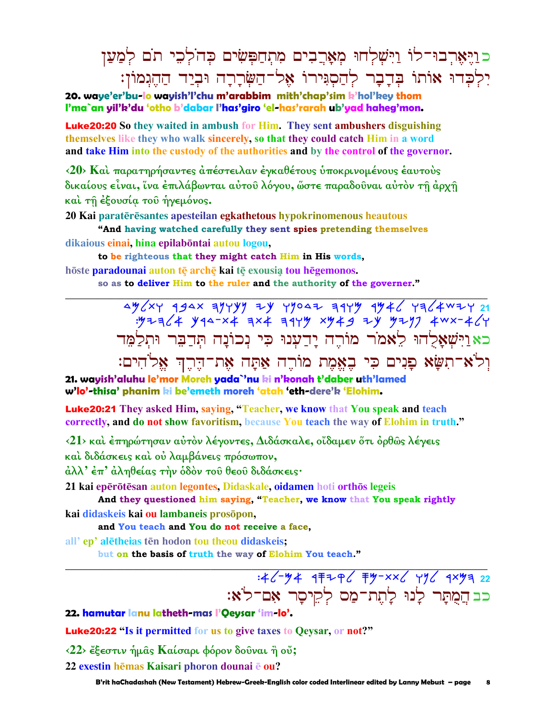# כוַיַּאָרְבוּ־לוֹ וַיִּשְׁלְחוּ מְאַרֲבִים מִתְחַפְּשִׂים כְּהֹלְכֶי תֹם לְמַעֲן יִלְכָדוּ אוֹתוֹ בִּדְבָר לְהַסְגִּירוֹ אֶל־הַשִּׂרְרָה וּבְיַד הַהֵגְמוֹן:

20. wave'er'bu-lo wavish'l'chu m'arabbim mith'chap'sim k'hol'key thom I'ma`an yil'k'du 'otho b'dabar I'has'giro 'el-has'rarah ub'yad haheg'mon.

**Luke20:20** So they waited in ambush for Him. They sent ambushers disguishing themselves like they who walk sincerely, so that they could catch Him in a word and take Him into the custody of the authorities and by the control of the governor.

<20> Και παρατηρήσαντες απέστειλαν έγκαθέτους υποκρινομένους εαυτούς δικαίους είναι, ίνα έπιλάβωνται αύτου λόγου, ώστε παραδουναι αύτον τη άρχη και τη έξουσία του ήγεμόνος.

20 Kai paratērēsantes apesteilan egkathetous hypokrinomenous heautous

"And having watched carefully they sent spies pretending themselves dikaious einai, hina epilabontai autou logou,

to be righteous that they might catch Him in His words, hōste paradounai auton tē archē kai tē exousia tou hēgemonos.

so as to deliver Him to the ruler and the authority of the governer."

 $4\frac{y}{x}$   $\frac{49}{x}$   $\frac{49}{x}$   $\frac{4y}{y}$   $\frac{1}{y}$   $\frac{1}{y}$   $\frac{1}{y}$   $\frac{4y}{x}$   $\frac{1}{y}$   $\frac{1}{y}$   $\frac{1}{z}$   $\frac{1}{z}$   $\frac{1}{z}$   $\frac{1}{z}$   $\frac{1}{z}$   $\frac{1}{z}$   $\frac{1}{z}$   $\frac{1}{z}$   $\frac{1}{z}$   $\frac{1}{z}$   $\frac{1}{z}$   $\frac{1}{$ כאוישאלהו לאמר מורה ידענו כי נכונה תדבר ותלמד וִלֹא־תִשָּׂא פָנִים כִּי בִאֲמֵת מוֹרֵה אַתָּה אִת־דֵּרֵךְ אֵלֹהִים:

21. wayish'aluhu le'mor Moreh yada`'nu ki n'konah t'daber uth'lamed w'lo'-thisa' phanim ki be'emeth moreh 'atah 'eth-dere'k 'Elohim.

**Luke20:21** They asked Him, saying, "Teacher, we know that You speak and teach correctly, and do not show favoritism, because You teach the way of Elohim in truth."

<21> και έπηρώτησαν αύτον λέγοντες, Διδάσκαλε, οίδαμεν ότι όρθως λέγεις

καί διδάσκεις και ου λαμβάνεις πρόσωπον,

άλλ' έπ' άληθείας την όδον του θεου διδάσκεις·

21 kai epērōtēsan auton legontes, Didaskale, oidamen hoti orthōs legeis

And they questioned him saying, "Teacher, we know that You speak rightly kai didaskeis kai ou lambaneis prosōpon,

and You teach and You do not receive a face,

all' ep' aletheias ten hodon tou theou didaskeis;

but on the basis of truth the way of Elohim You teach."

# כב הֲמֻתָּר לְנוּ לְתֵת־מַס לִקֵיסַר אָם־לֹא:

22. hamutar lanu latheth-mas l'Oeysar 'im-lo'.

**Luke20:22 "Is it permitted for us to give taxes to Qeysar, or not?"** 

 $\langle 22 \rangle$  έξεστιν ήμας Καίσαρι φόρον δουναι ή ού;

22 exestin hēmas Kaisari phoron dounai ē ou?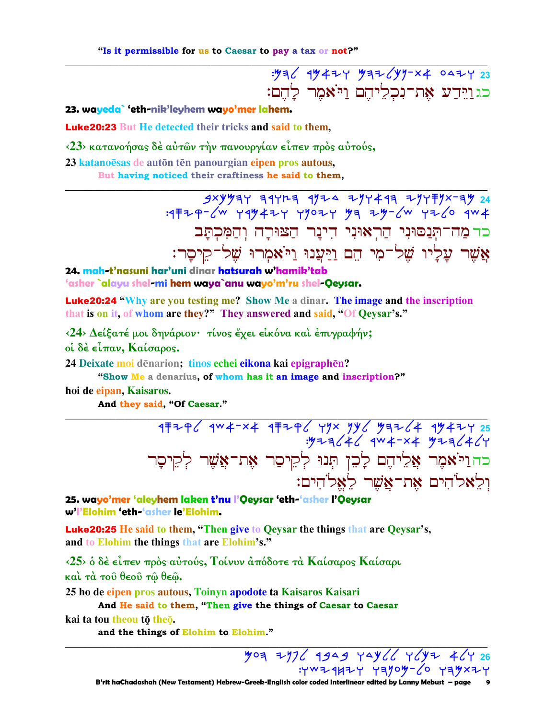"Is it permissible for us to Caesar to pay a tax or not?"

: 12 4 4 4 7 23 כגוידע את־נכליהם ויאמר להם:

23. wayeda` 'eth-nik'leyhem wayo'mer lahem.

**Luke20:23** But He detected their tricks and said to them,

<23> κατανοήσας δέ αύτων την πανουργίαν είπεν πρός αύτούς,

23 katanoesas de auton ten panourgian eipen pros autous,

But having noticed their craftiness he said to them,

 $3xyy77$  31723 1724 277413 2777772737 24 כד מַה־תְּנַסוּנִי הַרְאוּנִי דִינַר הַצּוּרָה וְהַמְּכִתֲּב אֲשֶׁר עֲלַיו שֵׁל־מִי הֵם וַיַּעֲנוּ וַיֹּאמִרוּ שֵׁל־קֵיסֵר:

24. mah-t'nasuni har'uni dinar hatsurah w'hamik'tab 'asher `alayu shel-mi hem waya`anu wayo'm'ru shel-Qeysar.

**Luke20:24 "Why are you testing me?** Show Me a dinar. The *image* and the inscription that is on it, of whom are they?" They answered and said, "Of Qeysar's."

<24> Δείξατέ μοι δηνάριον· τίνος έχει εικόνα και επιγραφήν;

οί δέ είπαν, Καίσαρος.

24 Deixate moi dēnarion; tinos echei eikona kai epigraphēn?

"Show Me a denarius, of whom has it an image and inscription?"

hoi de eipan, Kaisaros.

And they said, "Of Caesar."

177723 474-24 4772 498 4992 494-4 4746 4746<br>4/4/4/ 4x4-4 4746: כהויאמר אֲלִיהֶם לָכֵן תְּנוּ לְקִיסַר אֶת־אֲשֶׁר לְקִיסָר ולאלהים את־אשר לאלהים:

25. wayo'mer 'aleyhem laken t'nu l'Qeysar 'eth-'asher l'Qeysar w'l'Elohim 'eth-'asher le'Elohim.

Luke20:25 He said to them, "Then give to Qeysar the things that are Qeysar's, and to Elohim the things that are Elohim's."

<25> δ δέ είπεν πρός αύτούς, Τοίνυν άπόδοτε τα Καίσαρος Καίσαρι και τα του θεου τω θεω.

25 ho de eipen pros autous, Toinyn apodote ta Kaisaros Kaisari

And He said to them, "Then give the things of Caesar to Caesar

kai ta tou theou tō theō.

and the things of Elohim to Elohim."

YOA 7776 4949 YAY66 Y6YZ 46Y 26

 $: YW 1411 Y 13109 - 60 13911$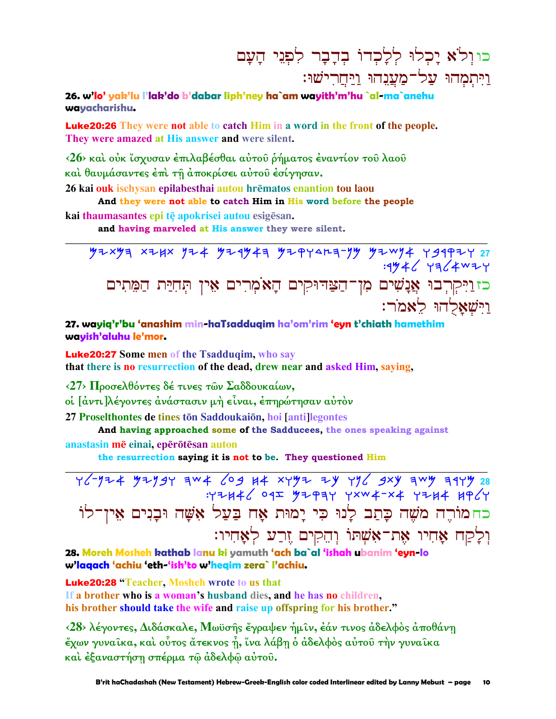# כוולא יכלו ללכדו בדבר לפני העם <u>ויתמהו על־מענהו ויחרישו:</u>

26. w'lo' yak'lu l'lak'do b'dabar liph'ney ha`am wayith'm'hu `al-ma`anehu wavacharishu.

**Luke20:26** They were not able to catch Him in a word in the front of the people. They were amazed at His answer and were silent.

<26> και ούκ ίσχυσαν έπιλαβέσθαι αύτου ρήματος έναντίον του λαου και θαυμάσαντες έπι τη άποκρίσει αύτου έσίγησαν.

26 kai ouk ischysan epilabesthai autou hrēmatos enantion tou laou

And they were not able to catch Him in His word before the people

kai thaumasantes epi tē apokrisei autou esigēsan.

and having marveled at His answer they were silent.

כזוַיִּקְרְבוּ אֲנָשִׁים מִן־הַצַּדּוּקִים הָאֹמְרִים אֵין תְּחִיַּת הַמֵּתִים וישאלהו לאמר:

27. wayiq'r'bu 'anashim min-haTsadduqim ha'om'rim 'eyn t'chiath hamethim wayish'aluhu le'mor.

**Luke20:27** Some men of the Tsadduqim, who say that there is no resurrection of the dead, drew near and asked Him, saying,

<27> Προσελθόντες δέ τινες των Σαδδουκαίων,

οἱ [ἀντι]λέγοντες ἀνάστασιν μὴ εἶναι, ἐπηρώτησαν αὐτὸν

27 Proselthontes de tines ton Saddoukaion, hoi [anti] legontes

And having approached some of the Sadducees, the ones speaking against anastasin mē einai, epērōtēsan auton

the resurrection saying it is not to be. They questioned Him

 $47744/097$   $47934$   $7504 - x4$   $7744$   $196/7$ כחמוֹרֶה מֹשֶׁה כָּתַב לְנוּ כִּי יָמוּת אָח בַּעַל אָשָׁה וּבַנִים אֵין־לוֹ וִלְקַח אֲחִיו אֵת־אָשָׁתוֹ וְהֵקִים זֶרַע לְאָחִיו:

28. Moreh Mosheh kathab lanu ki yamuth 'ach ba`al 'ishah ubanim 'eyn-lo w'lagach 'achiu 'eth-'ish'to w'hegim zera` l'achiu.

**Luke20:28** "Teacher, Mosheh wrote to us that

If a brother who is a woman's husband dies, and he has no children, his brother should take the wife and raise up offspring for his brother."

<28> λέγοντες, Διδάσκαλε, Μωϋσής έγραψεν ήμιν, έάν τινος άδελφος αποθάνη έχων γυναίκα, και ούτος άτεκνος ή, ίνα λάβη ο άδελφος αύτου την γυναίκα και έξαναστήση σπέρμα τω άδελφω αύτου.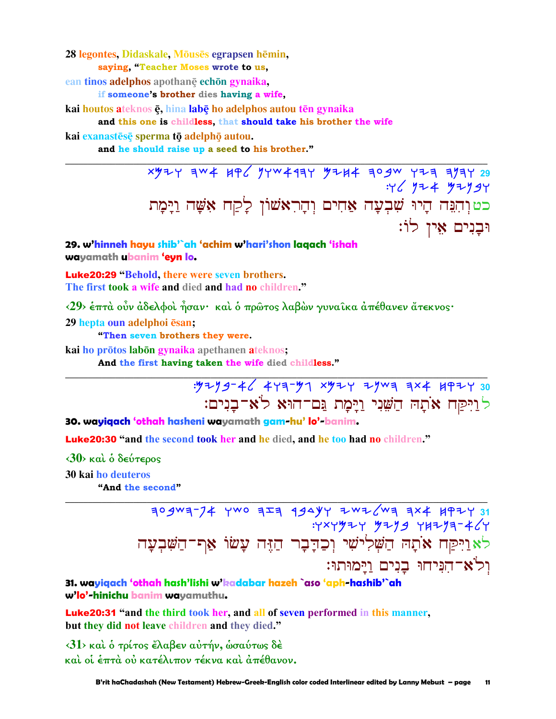28 legontes, Didaskale, Mōusēs egrapsen hēmin, saving. "Teacher Moses wrote to us.

ean tinos adelphos apothane echon gynaika.

if someone's brother dies having a wife.

kai houtos ateknos ę, hina labę ho adelphos autou tēn gynaika

and this one is childless, that should take his brother the wife

kai exanastēsē sperma tō adelphō autou.

and he should raise up a seed to his brother."

xy+y aw + HP ( yyw + 1ay y + H + ao gw y + a ayay 29  $.46444794$ כטוהִנֵּה הָיוּ שִׁבְעָה אַחִים וִהָרִאשׁוֹן לַקַח אָשָׁה וַיָּמָת וּבַנִים אֵין לוֹ:

29. w'hinneh hayu shib'`ah 'achim w'hari'shon lagach 'ishah wayamath ubanim 'eyn lo.

**Luke20:29 "Behold, there were seven brothers.** The first took a wife and died and had no children."

<29> έπτά οὖν άδελφοί ἦσαν· καί δ πρῶτος λαβὼν γυναι̂κα ἀπέθανεν ἄτεκνος·

29 hepta oun adelphoi esan;

"Then seven brothers they were.

kai ho prōtos labōn gynaika apethanen ateknos;

And the first having taken the wife died childless."

: 9299-46 443-97 x924 29W3 3x4 4924 30 לוַיִּקַח אֹתֵהּ הַשָּׁנִי וַיַּמַת גַּם־הוּא לֹאִ־בָּנִים:

30. wayiqach 'othah hasheni wayamath gam-hu' lo'-banim.

Luke20:30 "and the second took her and he died, and he too had no children."

 $\langle 30 \rangle$  και ο δεύτερος **30 kai ho deuteros** 

"And the second"

 $709$  Ma-74 YWO  $729$   $724$   $794$  YY ZWZ  $w$   $784$   $797$   $31$  $Y'Y'Y''Y'Y''Y''$ לא וַיִּקַח אֹתָה הַשְּׁלִישִׁי וְכַדְבָר הַזֶּה עָשׂוֹ אַף־הַשִּׁבְעָה וִלֹא־הִנִּיחוּ בְנִים וַיַּמוּתוּ:

31. wayiqach 'othah hash'lishi w'kadabar hazeh `aso 'aph-hashib'`ah w'lo'-hinichu banim wayamuthu.

Luke20:31 "and the third took her, and all of seven performed in this manner, but they did not leave children and they died."

<31> και ο τρίτος έλαβεν αύτήν, ωσαύτως δέ καί οί έπτά ού κατέλιπον τέκνα καί άπέθανον.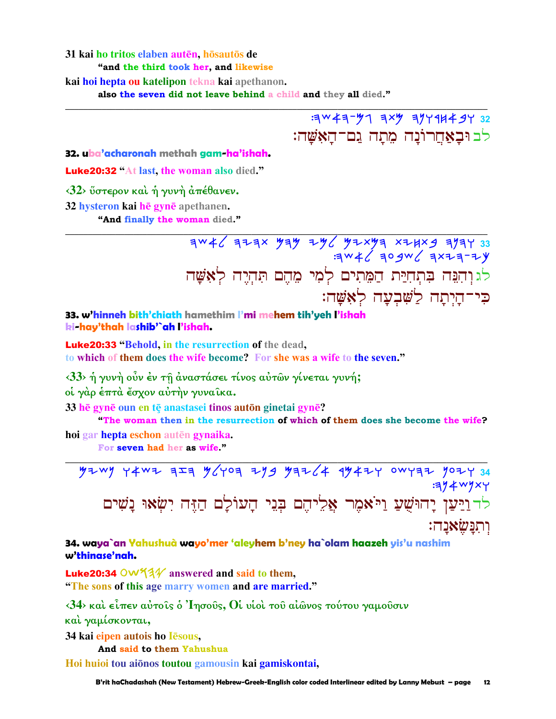#### 31 kai ho tritos elaben autēn, hōsautōs de "and the third took her, and likewise

kai hoi hepta ou katelipon tekna kai apethanon.

also the seven did not leave behind a child and they all died."

 $32$ <br> $34$   $43 - 97$   $31$   $32$ <br> $33$ לב וּבַאַחֵרוֹנַה מֵתַה גַם־הַאָּשֵׁה:

32. uba'acharonah methah aam-ha'ishah.

**Luke20:32 "At last, the woman also died."** 

 $\langle 32 \rangle$  ΰστερον και ή γυνή απέθανεν.

32 hysteron kai hē gynē apethanen.

"And finally the woman died."

33 7545 23452 5424 7465 454 2445 7446 לגוהנה בתחירת המתים למי מהם תהיה לאשה כִּי־הַיְתָה לַשָּׁבְעָה לְאָשָׁה:

33. w'hinneh bith'chiath hamethim l'mi mehem tih'yeh l'ishah ki-hay'thah lashib'`ah l'ishah.

**Luke20:33 "Behold, in the resurrection of the dead,** to which of them does the wife become? For she was a wife to the seven."

<33> ή γυνή ούν έν τη άναστάσει τίνος αύτων γίνεται γυνή;

οί γάρ έπτά έσχον αύτήν γυναίκα.

33 he gyne oun en te anastasei tinos auton ginetai gyne?

"The woman then in the resurrection of which of them does she become the wife? hoi gar hepta eschon autēn gynaika.

For seven had her as wife."

 $7209$  Y2wy Y4wz aza 9640a zyg yaz64 99424 0wyaz yozy 34  $:314W1XY$ לד וַיַּעַן יָהוּשָׁעַ וַיֹּאמִר אֲלִיהֵם בְּנֵי הָעוֹלָם הַזֵּה יִשְׂאוּ נָשִׁים ותנשׂאנה:

### 34. waya`an Yahushuà wayo'mer 'aleyhem b'ney ha`olam haazeh yis'u nashim w'thinase'nah.

**Luke20:34 OW53** $\mathcal{V}$  answered and said to them, "The sons of this age marry women and are married."

 $\langle 34 \rangle$  και είπεν αύτοις ο 'Iησούς, θί υιοι του αίωνος τούτου γαμούσιν

καί ναμίσκονται.

34 kai eipen autois ho lesous,

And said to them Yahushua

Hoi huioi tou aiōnos toutou gamousin kai gamiskontai,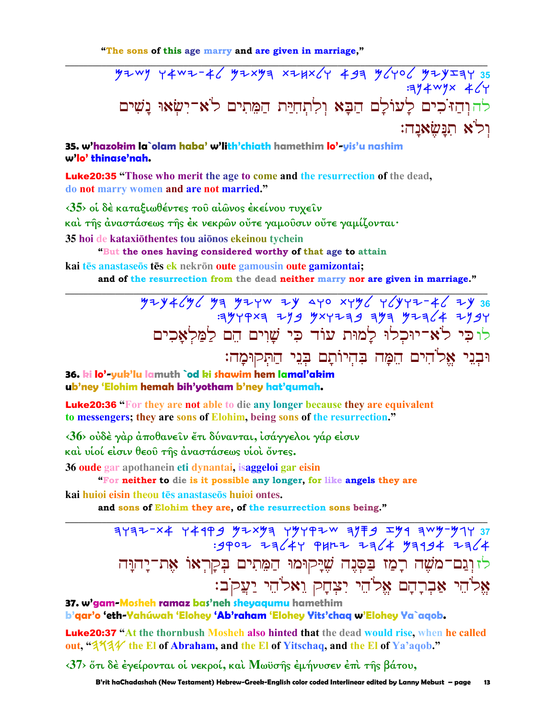"The sons of this age marry and are given in marriage,"

 $4409$  +4w2-46 42x43 x24x6+ 433 46406 424231 35  $774$  Wyx  $4/7$ להוהיכים לעולם הבא ולתחית המתים לא־ישאוּ נָשִׁים ולא תנשאנה:

35. w'hazokim la`olam haba' w'lith'chiath hamethim lo'-yis'u nashim w'lo' thinase'nah.

**Luke20:35** "Those who merit the age to come and the resurrection of the dead, do not marry women and are not married."

<35> οι δέ καταξιωθέντες του αίωνος έκείνου τυχείν καὶ τῆς ἀναστάσεως τῆς ἐκ νεκρῶν οὔτε γαμοῦσιν οὔτε γαμίζονται· 35 hoi de kataxiōthentes tou aiōnos ekeinou tychein

"But the ones having considered worthy of that age to attain

kai tēs anastaseos tēs ek nekrōn oute gamousin oute gamizontai; and of the resurrection from the dead neither marry nor are given in marriage."

> לוכי לא־יוּכְלוּ לָמוּת עוֹד כִּי שָׁוִים הֵם לַמַּלְאַכִים וּבְנֵי אֱלֹהִים הֵמָּה בִּהִיוֹתָם בִּנֵי הַתִּקוּמָה:

36. ki lo'-yuk'lu lamuth `od ki shawim hem lamal'akim ub'ney 'Elohim hemah bih'yotham b'ney hat'qumah.

**Luke20:36** "For they are not able to die any longer because they are equivalent to messengers; they are sons of Elohim, being sons of the resurrection."

<36> ούδέ γάρ άποθανείν έτι δύνανται, ισάγγελοι γάρ είσιν

και υίοί είσιν θεού της άναστάσεως υίοι όντες.

36 oude gar apothanein eti dynantai, isaggeloi gar eisin

"For neither to die is it possible any longer, for like angels they are

kai huioi eisin theou tēs anastaseōs huioi ontes.

and sons of Elohim they are, of the resurrection sons being."

 $7777-74$  74199 92 19797 7972 1979 7497 949  $:9907$   $73/47$  PHRZ  $73/4$   $9394$   $73/4$ לזוְנֵם־מֹשֶׁה רָמַז בַּסְנֶה שֶׁיַּקוּמוּ הַמֶּתִים בִּקְרִאוֹ אֶת־יָהוָּה אֱלֹהֵי אַבְרָהָם אֱלֹהֵי יִצְחָק וֵאלֹהֵי יַעֲקֹב:

37. w'gam-Mosheh ramaz bas'neh sheyaqumu hamethim b'gar'o 'eth-Yahúwah 'Elohey 'Ab'raham 'Elohey Yits'chag w'Elohey Ya`agob.

Luke20:37 "At the thornbush Mosheh also hinted that the dead would rise, when he called out, "3/4/4" the El of Abraham, and the El of Yitschaq, and the El of Ya'aqob."

<37> ότι δέ έγείρονται οι νεκροί, και Μωϋσης εμήνυσεν επι της βάτου,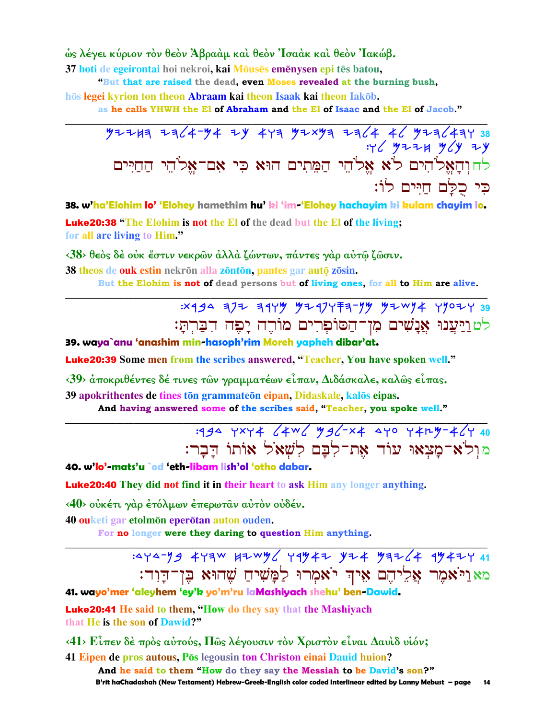ώς λέγει κύριον τον θεον Άβρααμ και θεον Ίσαακ και θεον Ίακώβ.

37 hoti de egeirontai hoi nekroi, kai Mōusēs emēnysen epi tēs batou,

"But that are raised the dead, even Moses revealed at the burning bush,

hōs legei kyrion ton theon Abraam kai theon Isaak kai theon Iakōb.

as he calls YHWH the El of Abraham and the El of Isaac and the El of Jacob."

# $477447724$  + 38  $46$  y z z H y cy z y לחוִהָאֱלֹהִים לֹא אֱלֹהֵי הַמֵּתִים הוּא כִּי אָם־אֱלֹהֵי הַחַיִּים כי כלם חיים לוֹ:

38. w'ha'Elohim lo' 'Elohey hamethim hu' ki 'im-'Elohey hachayim ki kulam chayim lo. **Luke20:38** "The Elohim is not the El of the dead but the El of the living; for all are living to Him."

<38> θεός δέ ούκ έστιν νεκρών άλλά ζώντων, πάντες γάρ αύτῷ ζῶσιν.

38 theos de ouk estin nekrōn alla zōntōn, pantes gar autō zōsin.

But the Elohim is not of dead persons but of living ones, for all to Him are alive.

לטוַיַעֲנוּ אֲנַשִׁים מִן־הַסוֹפִרִים מוֹרֶה יַפִּה הִבְּרִתַּ:

39. waya`anu 'anashim min-hasoph'rim Moreh yapheh dibar'at.

**Luke20:39** Some men from the scribes answered, "Teacher, You have spoken well."

 $\langle 39 \rangle$  αποκριθέντες δέ τινες των γραμματέων είπαν, Διδάσκαλε, καλως είπας.

39 apokrithentes de tines tōn grammateōn eipan, Didaskale, kalōs eipas. And having answered some of the scribes said, "Teacher, you spoke well."

> :444 YXY4 / 4W / MA / - x 4 4YO Y 4r 4-4 / Y 40 מול'א־מַצִאוּ עוֹד אָת־לְבַם לְשָׁאֹל אוֹתוֹ הַבַר:

40. w'lo'-mats'u `od 'eth-libam lish'ol 'otho dabar.

**Luke20:40** They did not find it in their heart to ask Him any longer anything.

<40> ούκέτι γάρ έτόλμων έπερωταν αύτον ούδέν.

40 ouketi gar etolmon eperotan auton ouden.

For no longer were they daring to question Him anything.

מאַוַיֹּאמֶר אֱלֵיהֶם אֶיךְ יֹאמִרוּ לַמֲשִׁיחַ שֶׁהוּא בֵּן־הַוְד:

41. wayo'mer 'aleyhem 'ey'k yo'm'ru laMashiyach shehu' ben-Dawid.

**Luke20:41** He said to them, "How do they say that the Mashiyach that He is the son of Dawid?"

 $\langle 41 \rangle$  Είπεν δέ πρός αύτούς, Πώς λέγουσιν τόν Χριστόν είναι Δαυίδ υίόν;

41 Eipen de pros autous, Pos legousin ton Christon einai Dauid huion? And he said to them "How do they say the Messiah to be David's son?" B'rit haChadashah (New Testament) Hebrew-Greek-English color coded Interlinear edited by Lanny Mebust – page  $14$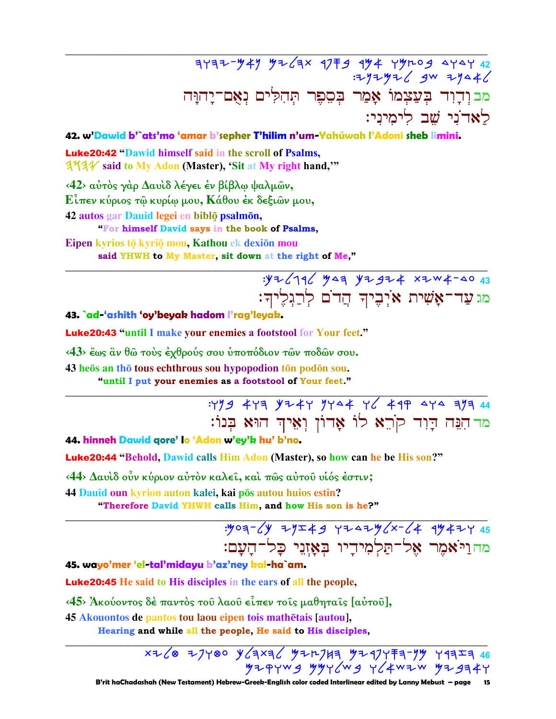## $7777 - 747$  y2/3x 1779 174 77209 4747 42  $777742$  gw  $7942$ מבוְדְוִד בְּעַצְמוֹ אָמַר בִּסֶפֵר תְּהִלִּים נִאָם־יַחוַּה לאדני שב לימיני:

### 42. w'Dawid b'`ats'mo 'amar b'sepher T'hilim n'um-Yahúwah l'Adoni sheb limini.

**Luke20:42 "Dawid himself said in the scroll of Psalms, 3731/** said to My Adon (Master), 'Sit at My right hand,'"

<42> αύτος γάρ Δαυίδ λέγει έν βίβλω ψαλμών,  $\mathbf{E}$ ίπεν κύριος τω κυρίω μου,  $\mathbf{K}$ άθου έκ δεξιων μου, 42 autos gar Dauid legei en biblō psalmōn, "For himself David says in the book of Psalms,

Eipen kyrios tō kyriō mou, Kathou ek dexiōn mou said YHWH to My Master, sit down at the right of Me,"

# 沙 = 146 MAZ YZ JZ # XZW + - 40 43 מג עַד־אָשִׁית אֹיִבִיךְ הַדֹם לְרַגְלֵיךְ:

### 43. ad-'ashith 'oy'beyak hadom l'rag'leyak.

**Luke20:43 "until I make your enemies a footstool for Your feet."** 

 $\langle 43 \rangle$  έως ἂν θῶ τοὺς ἐχθρούς σου ὑποπόδιον τῶν ποδῶν σου.

43 heos an tho tous echthrous sou hypopodion to podon sou.

"until I put your enemies as a footstool of Your feet."

:499 443 4744 7444 46 499 444 373 44 מד הִנֵּה דָוָד קֹרֵא לוֹ אָדוֹן וְאֵיךְ הוּא בְּנוֹ:

44. hinneh Dawid qore' lo 'Adon w'ey'k hu' b'no.

Luke20:44 "Behold, Dawid calls Him Adon (Master), so how can he be His son?"

 $\langle 44 \rangle$  Δαυίδ οὖν κύριον αὐτὸν καλεί, καί πῶς αὐτοῦ υἱός ἐστιν;

44 Dauid oun kyrion auton kalei, kai pōs autou huios estin?

"Therefore David YHWH calls Him, and how His son is he?"

מהוַיֹּאמֵר אֵל־תַּלְמִידֵיו בִּאַזְנֵי כַל־הַעֲם:

45. wayo'mer 'el-tal'midayu b'az'ney kal-ha`am.

**Luke20:45** He said to His disciples in the ears of all the people,

<45> Άκούοντος δέ παντός του λαού είπεν τοις μαθηταις [αύτου].

45 Akouontos de pantos tou laou eipen tois mathētais [autou].

Hearing and while all the people, He said to His disciples,